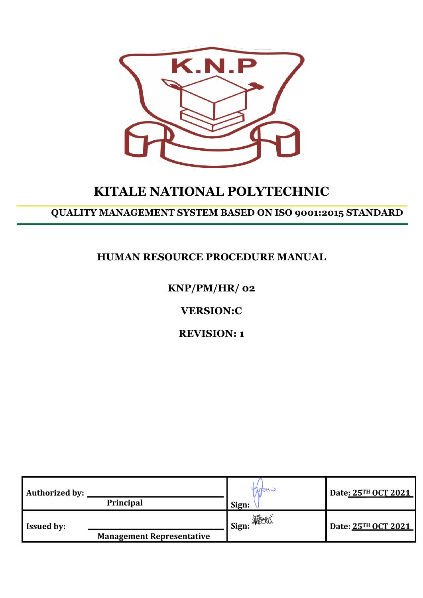

# **KITALE NATIONAL POLYTECHNIC**

## **QUALITY MANAGEMENT SYSTEM BASED ON ISO 9001:2015 STANDARD**

## **HUMAN RESOURCE PROCEDURE MANUAL**

## **KNP/PM/HR/ 02**

## **VERSION:C**

## **REVISION: 1**

| <b>Authorized by:</b> | Principal                        | wani<br>Sign:                                        | Date: 25TH OCT 2021 |
|-----------------------|----------------------------------|------------------------------------------------------|---------------------|
| <b>Issued by:</b>     | <b>Management Representative</b> | $\blacksquare$ Sign: $\bigoplus_{\mathcal{A}}$ Sign: | Date: 25TH OCT 2021 |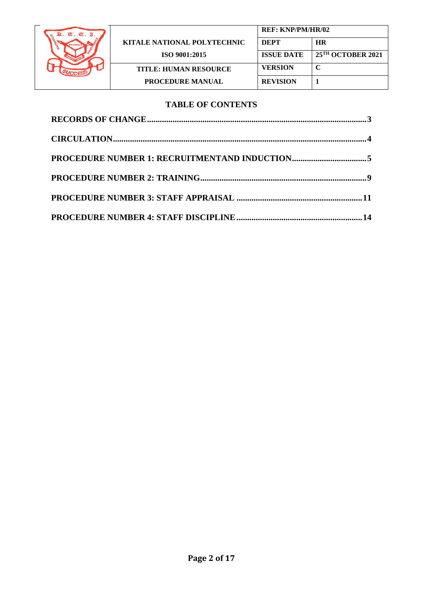

|                                    | <b>REF: KNP/PM/HR/02</b> |                               |
|------------------------------------|--------------------------|-------------------------------|
| <b>KITALE NATIONAL POLYTECHNIC</b> | <b>DEPT</b>              | <b>HR</b>                     |
| <b>ISO 9001:2015</b>               | <b>ISSUE DATE</b>        | 25 <sup>TH</sup> OCTOBER 2021 |
| <b>TITLE: HUMAN RESOURCE</b>       | <b>VERSION</b>           | $\mathsf{C}$                  |
| <b>PROCEDURE MANUAL</b>            | <b>REVISION</b>          |                               |

### **TABLE OF CONTENTS**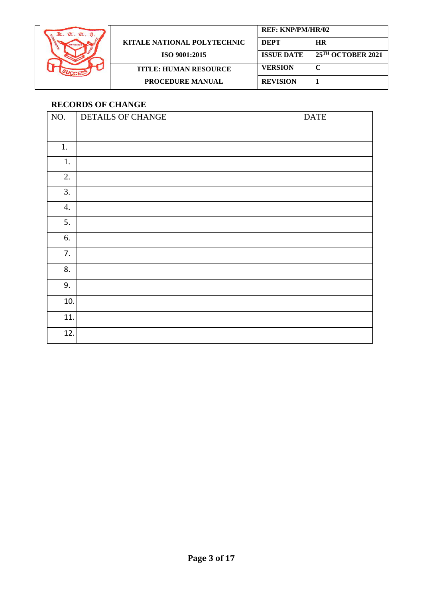

|                                    | <b>REF: KNP/PM/HR/02</b> |                               |
|------------------------------------|--------------------------|-------------------------------|
| <b>KITALE NATIONAL POLYTECHNIC</b> | <b>DEPT</b>              | <b>HR</b>                     |
| <b>ISO 9001:2015</b>               | <b>ISSUE DATE</b>        | 25 <sup>TH</sup> OCTOBER 2021 |
| <b>TITLE: HUMAN RESOURCE</b>       | <b>VERSION</b>           |                               |
| <b>PROCEDURE MANUAL</b>            | <b>REVISION</b>          |                               |

## <span id="page-2-0"></span>**RECORDS OF CHANGE**

| NO. | DETAILS OF CHANGE | <b>DATE</b> |
|-----|-------------------|-------------|
|     |                   |             |
| 1.  |                   |             |
| 1.  |                   |             |
| 2.  |                   |             |
| 3.  |                   |             |
| 4.  |                   |             |
| 5.  |                   |             |
| 6.  |                   |             |
| 7.  |                   |             |
| 8.  |                   |             |
| 9.  |                   |             |
| 10. |                   |             |
| 11. |                   |             |
| 12. |                   |             |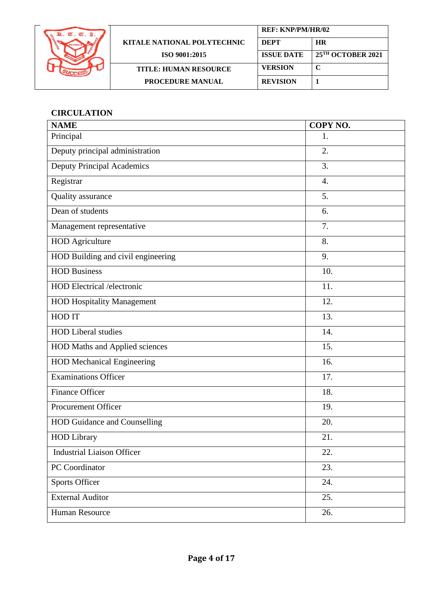

|                              | <b>REF: KNP/PM/HR/02</b> |                                 |
|------------------------------|--------------------------|---------------------------------|
| KITALE NATIONAL POLYTECHNIC  | <b>DEPT</b>              | <b>HR</b>                       |
| ISO 9001:2015                | <b>ISSUE DATE</b>        | $25$ <sup>TH</sup> OCTOBER 2021 |
| <b>TITLE: HUMAN RESOURCE</b> | <b>VERSION</b>           | C                               |
| <b>PROCEDURE MANUAL</b>      | <b>REVISION</b>          |                                 |

## <span id="page-3-0"></span>**CIRCULATION**

| <b>NAME</b>                           | COPY NO. |
|---------------------------------------|----------|
| Principal                             | 1.       |
| Deputy principal administration       | 2.       |
| <b>Deputy Principal Academics</b>     | 3.       |
| Registrar                             | 4.       |
| Quality assurance                     | 5.       |
| Dean of students                      | 6.       |
| Management representative             | 7.       |
| <b>HOD</b> Agriculture                | 8.       |
| HOD Building and civil engineering    | 9.       |
| <b>HOD Business</b>                   | 10.      |
| <b>HOD Electrical /electronic</b>     | 11.      |
| <b>HOD Hospitality Management</b>     | 12.      |
| HOD IT                                | 13.      |
| <b>HOD Liberal studies</b>            | 14.      |
| <b>HOD Maths and Applied sciences</b> | 15.      |
| <b>HOD Mechanical Engineering</b>     | 16.      |
| <b>Examinations Officer</b>           | 17.      |
| <b>Finance Officer</b>                | 18.      |
| <b>Procurement Officer</b>            | 19.      |
| <b>HOD Guidance and Counselling</b>   | 20.      |
| <b>HOD Library</b>                    | 21.      |
| <b>Industrial Liaison Officer</b>     | 22.      |
| PC Coordinator                        | 23.      |
| <b>Sports Officer</b>                 | 24.      |
| <b>External Auditor</b>               | 25.      |
| Human Resource                        | 26.      |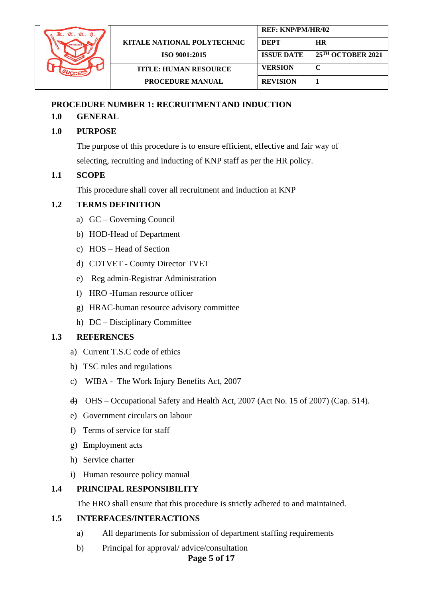

### <span id="page-4-0"></span>**PROCEDURE NUMBER 1: RECRUITMENTAND INDUCTION**

## **1.0 GENERAL**

## **1.0 PURPOSE**

The purpose of this procedure is to ensure efficient, effective and fair way of selecting, recruiting and inducting of KNP staff as per the HR policy.

## **1.1 SCOPE**

This procedure shall cover all recruitment and induction at KNP

## **1.2 TERMS DEFINITION**

- a) GC Governing Council
- b) HOD-Head of Department
- c) HOS Head of Section
- d) CDTVET County Director TVET
- e) Reg admin-Registrar Administration
- f) HRO -Human resource officer
- g) HRAC-human resource advisory committee
- h) DC Disciplinary Committee

#### **1.3 REFERENCES**

- a) Current T.S.C code of ethics
- b) TSC rules and regulations
- c) WIBA The Work Injury Benefits Act, 2007
- d) OHS [Occupational Safety and Health Act, 2007 \(Act No. 15 of 2007\) \(Cap. 514\).](http://www.ilo.org/dyn/natlex/natlex4.detail?p_lang=en&p_isn=78264&p_country=KEN&p_classification=14)
- e) Government circulars on labour
- f) Terms of service for staff
- g) Employment acts
- h) Service charter
- i) Human resource policy manual

#### **1.4 PRINCIPAL RESPONSIBILITY**

The HRO shall ensure that this procedure is strictly adhered to and maintained.

#### **1.5 INTERFACES/INTERACTIONS**

- a) All departments for submission of department staffing requirements
- b) Principal for approval/ advice/consultation

## **Page 5 of 17**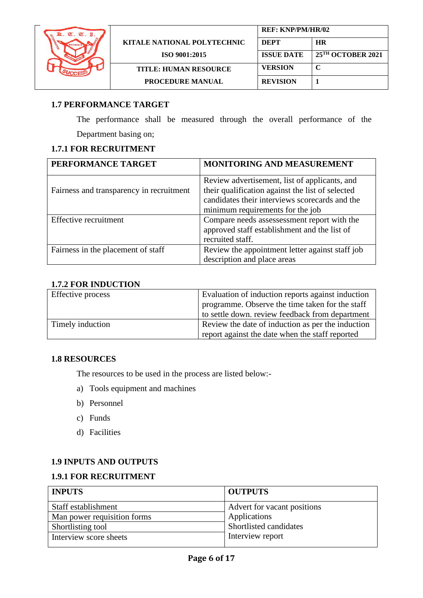

## **1.7 PERFORMANCE TARGET**

The performance shall be measured through the overall performance of the Department basing on;

### **1.7.1 FOR RECRUITMENT**

| PERFORMANCE TARGET                       | <b>MONITORING AND MEASUREMENT</b>                                                                                                                                                       |
|------------------------------------------|-----------------------------------------------------------------------------------------------------------------------------------------------------------------------------------------|
| Fairness and transparency in recruitment | Review advertisement, list of applicants, and<br>their qualification against the list of selected<br>candidates their interviews scorecards and the<br>minimum requirements for the job |
| Effective recruitment                    | Compare needs assessessment report with the<br>approved staff establishment and the list of<br>recruited staff.                                                                         |
| Fairness in the placement of staff       | Review the appointment letter against staff job<br>description and place areas                                                                                                          |

## **1.7.2 FOR INDUCTION**

| Effective process | Evaluation of induction reports against induction<br>programme. Observe the time taken for the staff<br>to settle down. review feedback from department |
|-------------------|---------------------------------------------------------------------------------------------------------------------------------------------------------|
| Timely induction  | Review the date of induction as per the induction<br>report against the date when the staff reported                                                    |

#### **1.8 RESOURCES**

The resources to be used in the process are listed below:-

- a) Tools equipment and machines
- b) Personnel
- c) Funds
- d) Facilities

#### **1.9 INPUTS AND OUTPUTS**

#### **1.9.1 FOR RECRUITMENT**

| <b>INPUTS</b>               | <b>OUTPUTS</b>              |
|-----------------------------|-----------------------------|
| Staff establishment         | Advert for vacant positions |
| Man power requisition forms | Applications                |
| Shortlisting tool           | Shortlisted candidates      |
| Interview score sheets      | Interview report            |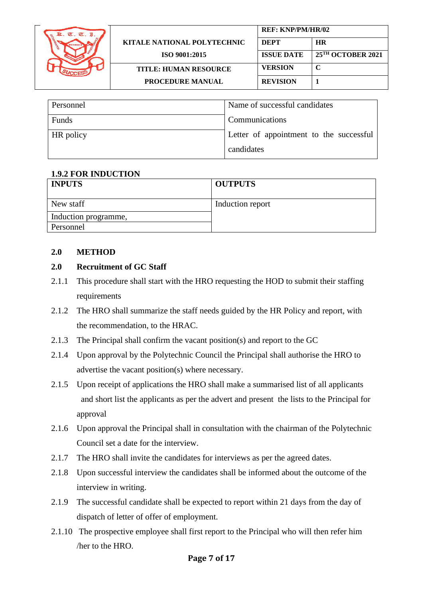| $T_{\rm L}$ , $T_{\rm L}$ , $T_{\rm I}$ |                                    | <b>REF: KNP/PM/HR/02</b> |                               |
|-----------------------------------------|------------------------------------|--------------------------|-------------------------------|
|                                         | <b>KITALE NATIONAL POLYTECHNIC</b> | <b>DEPT</b>              | <b>HR</b>                     |
|                                         | ISO 9001:2015                      | <b>ISSUE DATE</b>        | 25 <sup>TH</sup> OCTOBER 2021 |
|                                         | <b>TITLE: HUMAN RESOURCE</b>       | <b>VERSION</b>           |                               |
|                                         | <b>PROCEDURE MANUAL</b>            | <b>REVISION</b>          |                               |

| Personnel | Name of successful candidates           |
|-----------|-----------------------------------------|
| Funds     | Communications                          |
| HR policy | Letter of appointment to the successful |
|           | candidates                              |

## **1.9.2 FOR INDUCTION**

| <b>INPUTS</b>        | <b>OUTPUTS</b>   |
|----------------------|------------------|
| New staff            | Induction report |
| Induction programme, |                  |
| Personnel            |                  |

#### **2.0 METHOD**

## **2.0 Recruitment of GC Staff**

- 2.1.1 This procedure shall start with the HRO requesting the HOD to submit their staffing requirements
- 2.1.2 The HRO shall summarize the staff needs guided by the HR Policy and report, with the recommendation, to the HRAC.
- 2.1.3 The Principal shall confirm the vacant position(s) and report to the GC
- 2.1.4 Upon approval by the Polytechnic Council the Principal shall authorise the HRO to advertise the vacant position(s) where necessary.
- 2.1.5 Upon receipt of applications the HRO shall make a summarised list of all applicants and short list the applicants as per the advert and present the lists to the Principal for approval
- 2.1.6 Upon approval the Principal shall in consultation with the chairman of the Polytechnic Council set a date for the interview.
- 2.1.7 The HRO shall invite the candidates for interviews as per the agreed dates.
- 2.1.8 Upon successful interview the candidates shall be informed about the outcome of the interview in writing.
- 2.1.9 The successful candidate shall be expected to report within 21 days from the day of dispatch of letter of offer of employment.
- 2.1.10 The prospective employee shall first report to the Principal who will then refer him /her to the HRO.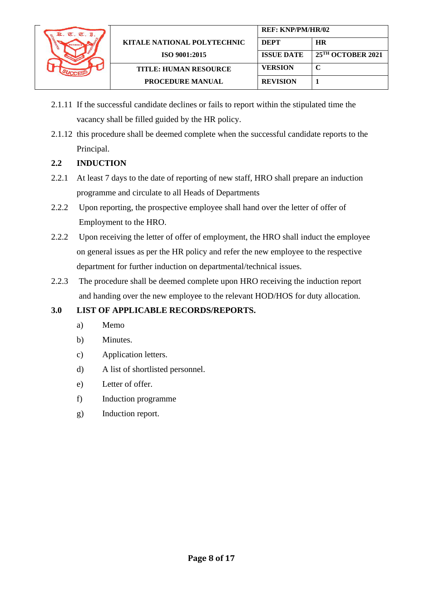

- 2.1.11 If the successful candidate declines or fails to report within the stipulated time the vacancy shall be filled guided by the HR policy.
- 2.1.12 this procedure shall be deemed complete when the successful candidate reports to the Principal.

## **2.2 INDUCTION**

- 2.2.1 At least 7 days to the date of reporting of new staff, HRO shall prepare an induction programme and circulate to all Heads of Departments
- 2.2.2 Upon reporting, the prospective employee shall hand over the letter of offer of Employment to the HRO.
- 2.2.2 Upon receiving the letter of offer of employment, the HRO shall induct the employee on general issues as per the HR policy and refer the new employee to the respective department for further induction on departmental/technical issues.
- 2.2.3 The procedure shall be deemed complete upon HRO receiving the induction report and handing over the new employee to the relevant HOD/HOS for duty allocation.

## **3.0 LIST OF APPLICABLE RECORDS/REPORTS.**

- a) Memo
- b) Minutes.
- c) Application letters.
- d) A list of shortlisted personnel.
- e) Letter of offer.
- f) Induction programme
- <span id="page-7-0"></span>g) Induction report.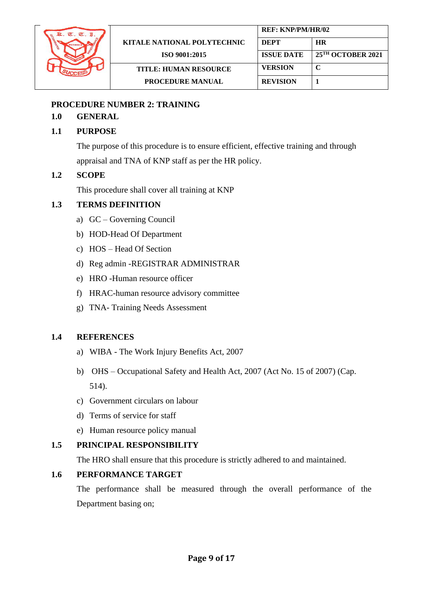

#### **PROCEDURE NUMBER 2: TRAINING**

## **1.0 GENERAL**

### **1.1 PURPOSE**

The purpose of this procedure is to ensure efficient, effective training and through appraisal and TNA of KNP staff as per the HR policy.

## **1.2 SCOPE**

This procedure shall cover all training at KNP

## **1.3 TERMS DEFINITION**

- a) GC Governing Council
- b) HOD-Head Of Department
- c) HOS Head Of Section
- d) Reg admin -REGISTRAR ADMINISTRAR
- e) HRO -Human resource officer
- f) HRAC-human resource advisory committee
- g) TNA- Training Needs Assessment

#### **1.4 REFERENCES**

- a) WIBA The Work Injury Benefits Act, 2007
- b) OHS [Occupational Safety and Health Act, 2007 \(Act No. 15 of 2007\) \(Cap.](http://www.ilo.org/dyn/natlex/natlex4.detail?p_lang=en&p_isn=78264&p_country=KEN&p_classification=14)  [514\).](http://www.ilo.org/dyn/natlex/natlex4.detail?p_lang=en&p_isn=78264&p_country=KEN&p_classification=14)
- c) Government circulars on labour
- d) Terms of service for staff
- e) Human resource policy manual

## **1.5 PRINCIPAL RESPONSIBILITY**

The HRO shall ensure that this procedure is strictly adhered to and maintained.

## **1.6 PERFORMANCE TARGET**

The performance shall be measured through the overall performance of the Department basing on;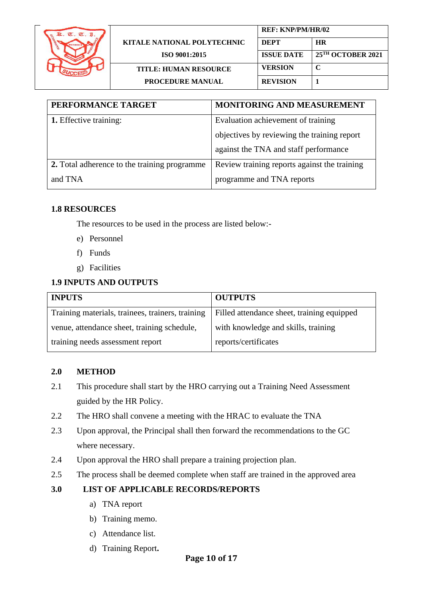

|                              | <b>REF: KNP/PM/HR/02</b> |                               |
|------------------------------|--------------------------|-------------------------------|
| KITALE NATIONAL POLYTECHNIC  | <b>DEPT</b>              | <b>HR</b>                     |
| ISO 9001:2015                | <b>ISSUE DATE</b>        | 25 <sup>TH</sup> OCTOBER 2021 |
| <b>TITLE: HUMAN RESOURCE</b> | <b>VERSION</b>           | C                             |
| <b>PROCEDURE MANUAL</b>      | <b>REVISION</b>          |                               |
|                              |                          |                               |

| PERFORMANCE TARGET                           | <b>MONITORING AND MEASUREMENT</b>            |
|----------------------------------------------|----------------------------------------------|
| <b>1.</b> Effective training:                | Evaluation achievement of training           |
|                                              | objectives by reviewing the training report  |
|                                              | against the TNA and staff performance        |
| 2. Total adherence to the training programme | Review training reports against the training |
| and TNA                                      | programme and TNA reports                    |

#### **1.8 RESOURCES**

The resources to be used in the process are listed below:-

- e) Personnel
- f) Funds
- g) Facilities

## **1.9 INPUTS AND OUTPUTS**

| <b>INPUTS</b>                                    | <b>OUTPUTS</b>                             |
|--------------------------------------------------|--------------------------------------------|
| Training materials, trainees, trainers, training | Filled attendance sheet, training equipped |
| venue, attendance sheet, training schedule,      | with knowledge and skills, training        |
| training needs assessment report                 | reports/certificates                       |

#### **2.0 METHOD**

- 2.1 This procedure shall start by the HRO carrying out a Training Need Assessment guided by the HR Policy.
- 2.2 The HRO shall convene a meeting with the HRAC to evaluate the TNA
- 2.3 Upon approval, the Principal shall then forward the recommendations to the GC where necessary.
- 2.4 Upon approval the HRO shall prepare a training projection plan.
- 2.5 The process shall be deemed complete when staff are trained in the approved area

## **3.0 LIST OF APPLICABLE RECORDS/REPORTS**

- a) TNA report
- b) Training memo.
- c) Attendance list.
- d) Training Report**.**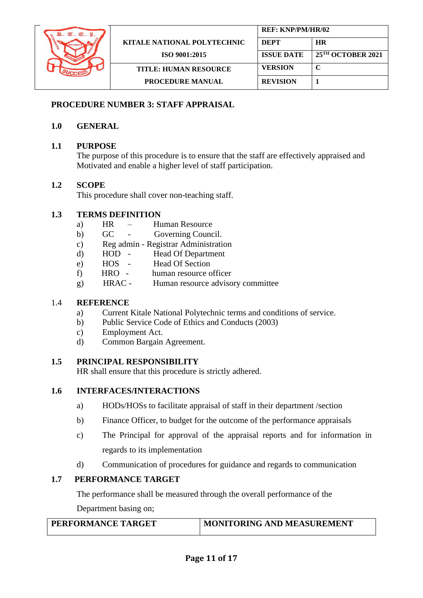

#### <span id="page-10-0"></span>**PROCEDURE NUMBER 3: STAFF APPRAISAL**

## **1.0 GENERAL**

#### **1.1 PURPOSE**

The purpose of this procedure is to ensure that the staff are effectively appraised and Motivated and enable a higher level of staff participation.

#### **1.2 SCOPE**

This procedure shall cover non-teaching staff.

#### **1.3 TERMS DEFINITION**

- a) HR Human Resource
- b) GC Governing Council.
- c) Reg admin Registrar Administration
- d) HOD Head Of Department
- e) HOS Head Of Section
- f) HRO human resource officer
- g) HRAC Human resource advisory committee

#### 1.4 **REFERENCE**

- a) Current Kitale National Polytechnic terms and conditions of service.
- b) Public Service Code of Ethics and Conducts (2003)
- c) Employment Act.
- d) Common Bargain Agreement.

#### **1.5 PRINCIPAL RESPONSIBILITY**

HR shall ensure that this procedure is strictly adhered.

## **1.6 INTERFACES/INTERACTIONS**

- a) HODs/HOSs to facilitate appraisal of staff in their department /section
- b) Finance Officer, to budget for the outcome of the performance appraisals
- c) The Principal for approval of the appraisal reports and for information in regards to its implementation
- d) Communication of procedures for guidance and regards to communication

#### **1.7 PERFORMANCE TARGET**

The performance shall be measured through the overall performance of the

Department basing on;

| <b>PERFORMANCE TARGET</b> | MONITORING AND MEASUREMENT |
|---------------------------|----------------------------|
|                           |                            |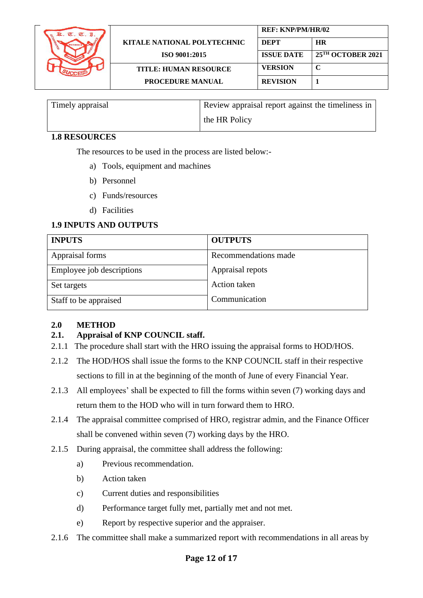

| Timely appraisal | Review appraisal report against the timeliness in |
|------------------|---------------------------------------------------|
|                  | the HR Policy                                     |

## **1.8 RESOURCES**

The resources to be used in the process are listed below:-

- a) Tools, equipment and machines
- b) Personnel
- c) Funds/resources
- d) Facilities

## **1.9 INPUTS AND OUTPUTS**

| <b>INPUTS</b>             | <b>OUTPUTS</b>       |
|---------------------------|----------------------|
| Appraisal forms           | Recommendations made |
| Employee job descriptions | Appraisal repots     |
| Set targets               | Action taken         |
| Staff to be appraised     | Communication        |

## **2.0 METHOD**

## **2.1. Appraisal of KNP COUNCIL staff.**

- 2.1.1 The procedure shall start with the HRO issuing the appraisal forms to HOD/HOS.
- 2.1.2 The HOD/HOS shall issue the forms to the KNP COUNCIL staff in their respective sections to fill in at the beginning of the month of June of every Financial Year.
- 2.1.3 All employees' shall be expected to fill the forms within seven (7) working days and return them to the HOD who will in turn forward them to HRO.
- 2.1.4 The appraisal committee comprised of HRO, registrar admin, and the Finance Officer shall be convened within seven (7) working days by the HRO.
- 2.1.5 During appraisal, the committee shall address the following:
	- a) Previous recommendation.
	- b) Action taken
	- c) Current duties and responsibilities
	- d) Performance target fully met, partially met and not met.
	- e) Report by respective superior and the appraiser.
- 2.1.6 The committee shall make a summarized report with recommendations in all areas by

## **Page 12 of 17**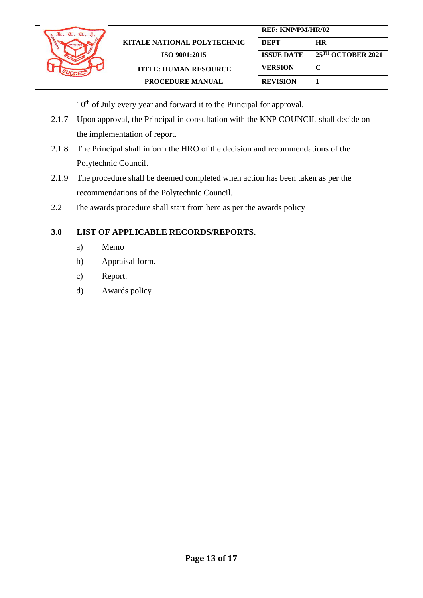

10<sup>th</sup> of July every year and forward it to the Principal for approval.

- 2.1.7 Upon approval, the Principal in consultation with the KNP COUNCIL shall decide on the implementation of report.
- 2.1.8 The Principal shall inform the HRO of the decision and recommendations of the Polytechnic Council.
- 2.1.9 The procedure shall be deemed completed when action has been taken as per the recommendations of the Polytechnic Council.
- 2.2 The awards procedure shall start from here as per the awards policy

## **3.0 LIST OF APPLICABLE RECORDS/REPORTS.**

- a) Memo
- b) Appraisal form.
- c) Report.
- d) Awards policy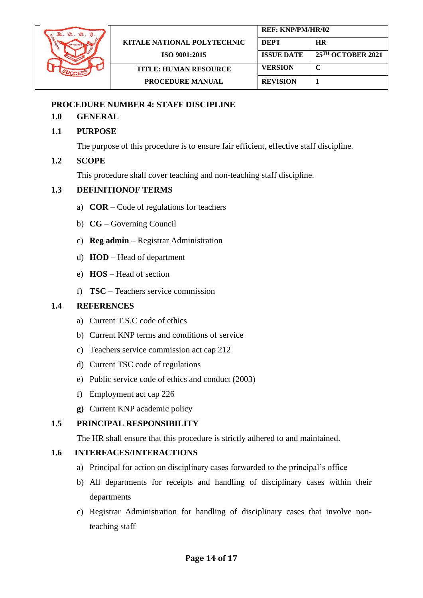

#### <span id="page-13-0"></span>**PROCEDURE NUMBER 4: STAFF DISCIPLINE**

#### **1.0 GENERAL**

#### **1.1 PURPOSE**

The purpose of this procedure is to ensure fair efficient, effective staff discipline.

#### **1.2 SCOPE**

This procedure shall cover teaching and non-teaching staff discipline.

#### **1.3 DEFINITIONOF TERMS**

- a) **COR**  Code of regulations for teachers
- b) **CG** Governing Council
- c) **Reg admin** Registrar Administration
- d) **HOD** Head of department
- e) **HOS** Head of section
- f) **TSC** Teachers service commission

#### **1.4 REFERENCES**

- a) Current T.S.C code of ethics
- b) Current KNP terms and conditions of service
- c) Teachers service commission act cap 212
- d) Current TSC code of regulations
- e) Public service code of ethics and conduct (2003)
- f) Employment act cap 226
- **g)** Current KNP academic policy

#### **1.5 PRINCIPAL RESPONSIBILITY**

The HR shall ensure that this procedure is strictly adhered to and maintained.

#### **1.6 INTERFACES/INTERACTIONS**

- a) Principal for action on disciplinary cases forwarded to the principal's office
- b) All departments for receipts and handling of disciplinary cases within their departments
- c) Registrar Administration for handling of disciplinary cases that involve nonteaching staff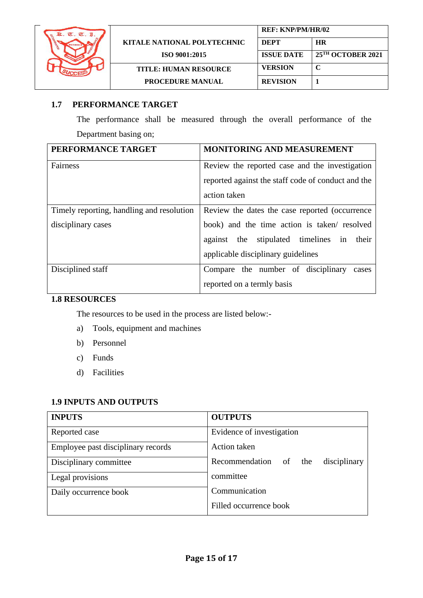

|                                    | <b>REF: KNP/PM/HR/02</b> |                               |
|------------------------------------|--------------------------|-------------------------------|
| <b>KITALE NATIONAL POLYTECHNIC</b> | <b>DEPT</b>              | HR                            |
| <b>ISO 9001:2015</b>               | <b>ISSUE DATE</b>        | 25 <sup>TH</sup> OCTOBER 2021 |
| <b>TITLE: HUMAN RESOURCE</b>       | <b>VERSION</b>           |                               |
| <b>PROCEDURE MANUAL</b>            | <b>REVISION</b>          |                               |

## **1.7 PERFORMANCE TARGET**

The performance shall be measured through the overall performance of the Department basing on;

| PERFORMANCE TARGET                        | <b>MONITORING AND MEASUREMENT</b>                  |
|-------------------------------------------|----------------------------------------------------|
| Fairness                                  | Review the reported case and the investigation     |
|                                           | reported against the staff code of conduct and the |
|                                           | action taken                                       |
| Timely reporting, handling and resolution | Review the dates the case reported (occurrence)    |
| disciplinary cases                        | book) and the time action is taken/resolved        |
|                                           | against the stipulated timelines in their          |
|                                           | applicable disciplinary guidelines                 |
| Disciplined staff                         | Compare the number of disciplinary<br>cases        |
|                                           | reported on a termly basis                         |

## **1.8 RESOURCES**

The resources to be used in the process are listed below:-

- a) Tools, equipment and machines
- b) Personnel
- c) Funds
- d) Facilities

## **1.9 INPUTS AND OUTPUTS**

| <b>INPUTS</b>                      | <b>OUTPUTS</b>                           |
|------------------------------------|------------------------------------------|
| Reported case                      | Evidence of investigation                |
| Employee past disciplinary records | <b>Action</b> taken                      |
| Disciplinary committee             | Recommendation of<br>the<br>disciplinary |
| Legal provisions                   | committee                                |
| Daily occurrence book              | Communication                            |
|                                    | Filled occurrence book                   |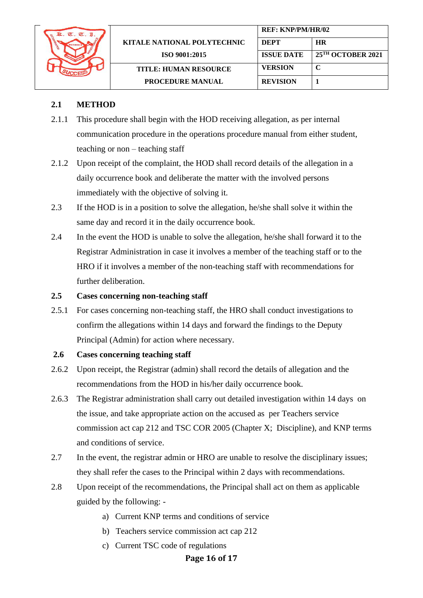

## **2.1 METHOD**

- 2.1.1 This procedure shall begin with the HOD receiving allegation, as per internal communication procedure in the operations procedure manual from either student, teaching or non – teaching staff
- 2.1.2 Upon receipt of the complaint, the HOD shall record details of the allegation in a daily occurrence book and deliberate the matter with the involved persons immediately with the objective of solving it.
- 2.3 If the HOD is in a position to solve the allegation, he/she shall solve it within the same day and record it in the daily occurrence book.
- 2.4 In the event the HOD is unable to solve the allegation, he/she shall forward it to the Registrar Administration in case it involves a member of the teaching staff or to the HRO if it involves a member of the non-teaching staff with recommendations for further deliberation.

#### **2.5 Cases concerning non-teaching staff**

2.5.1 For cases concerning non-teaching staff, the HRO shall conduct investigations to confirm the allegations within 14 days and forward the findings to the Deputy Principal (Admin) for action where necessary.

## **2.6 Cases concerning teaching staff**

- 2.6.2 Upon receipt, the Registrar (admin) shall record the details of allegation and the recommendations from the HOD in his/her daily occurrence book.
- 2.6.3 The Registrar administration shall carry out detailed investigation within 14 days on the issue, and take appropriate action on the accused as per Teachers service commission act cap 212 and TSC COR 2005 (Chapter X; Discipline), and KNP terms and conditions of service.
- 2.7 In the event, the registrar admin or HRO are unable to resolve the disciplinary issues; they shall refer the cases to the Principal within 2 days with recommendations.
- 2.8 Upon receipt of the recommendations, the Principal shall act on them as applicable guided by the following:
	- a) Current KNP terms and conditions of service
	- b) Teachers service commission act cap 212
	- c) Current TSC code of regulations

#### **Page 16 of 17**